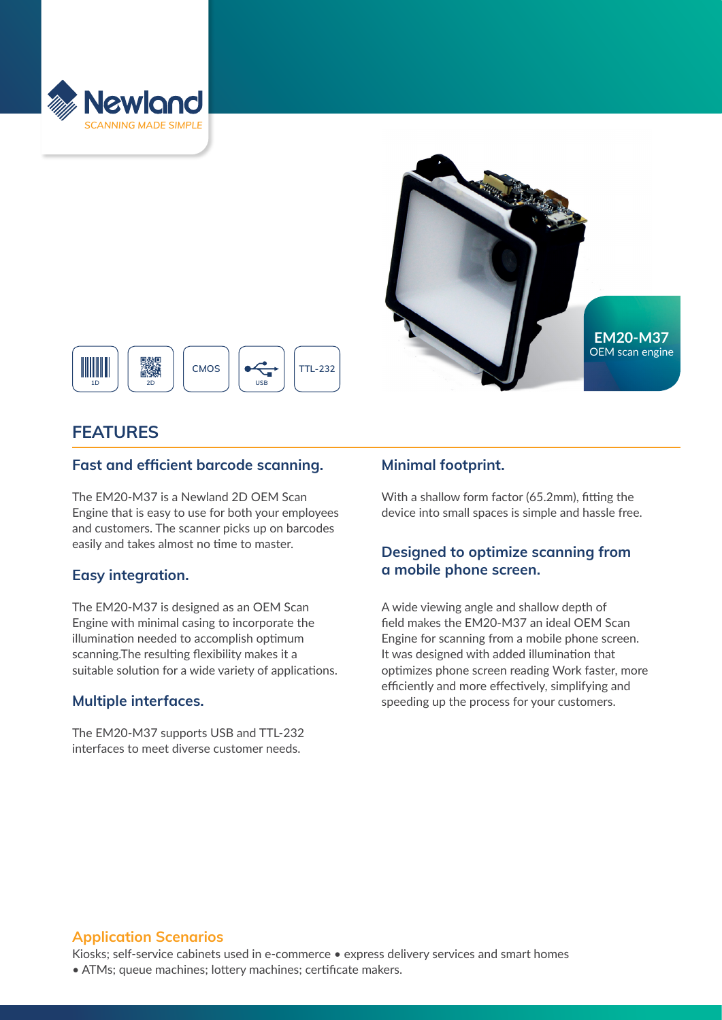





# **FEATURES**

#### **Fast and efficient barcode scanning.**

The EM20-M37 is a Newland 2D OEM Scan Engine that is easy to use for both your employees and customers. The scanner picks up on barcodes easily and takes almost no time to master.

## **Easy integration.**

The EM20-M37 is designed as an OEM Scan Engine with minimal casing to incorporate the illumination needed to accomplish optimum scanning.The resulting flexibility makes it a suitable solution for a wide variety of applications.

## **Multiple interfaces.**

The EM20-M37 supports USB and TTL-232 interfaces to meet diverse customer needs.

# **Minimal footprint.**

With a shallow form factor (65.2mm), fitting the device into small spaces is simple and hassle free.

# **Designed to optimize scanning from a mobile phone screen.**

A wide viewing angle and shallow depth of field makes the EM20-M37 an ideal OEM Scan Engine for scanning from a mobile phone screen. It was designed with added illumination that optimizes phone screen reading Work faster, more efficiently and more effectively, simplifying and speeding up the process for your customers.

## **Application Scenarios**

Kiosks; self-service cabinets used in e-commerce • express delivery services and smart homes • ATMs; queue machines; lottery machines; certificate makers.